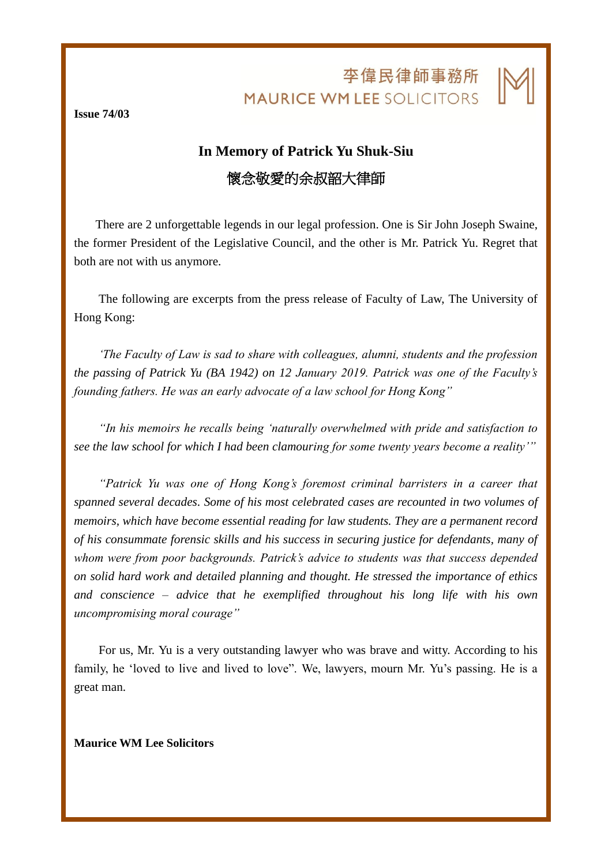李偉民律師事務所 **MAURICE WM LEE SOLICITORS** 

j

**Issue 74/03**

## **In Memory of Patrick Yu Shuk-Siu** 懷念敬愛的余叔韶大律師

There are 2 unforgettable legends in our legal profession. One is Sir John Joseph Swaine, the former President of the Legislative Council, and the other is Mr. Patrick Yu. Regret that both are not with us anymore.

The following are excerpts from the press release of Faculty of Law, The University of Hong Kong:

*'The Faculty of Law is sad to share with colleagues, alumni, students and the profession the passing of Patrick Yu (BA 1942) on 12 January 2019. Patrick was one of the Faculty's founding fathers. He was an early advocate of a law school for Hong Kong"*

*"In his memoirs he recalls being 'naturally overwhelmed with pride and satisfaction to see the law school for which I had been clamouring for some twenty years become a reality'"*

*"Patrick Yu was one of Hong Kong's foremost criminal barristers in a career that spanned several decades. Some of his most celebrated cases are recounted in two volumes of memoirs, which have become essential reading for law students. They are a permanent record of his consummate forensic skills and his success in securing justice for defendants, many of whom were from poor backgrounds. Patrick's advice to students was that success depended on solid hard work and detailed planning and thought. He stressed the importance of ethics and conscience – advice that he exemplified throughout his long life with his own uncompromising moral courage"* 

For us, Mr. Yu is a very outstanding lawyer who was brave and witty. According to his family, he 'loved to live and lived to love". We, lawyers, mourn Mr. Yu's passing. He is a great man.

**Maurice WM Lee Solicitors**